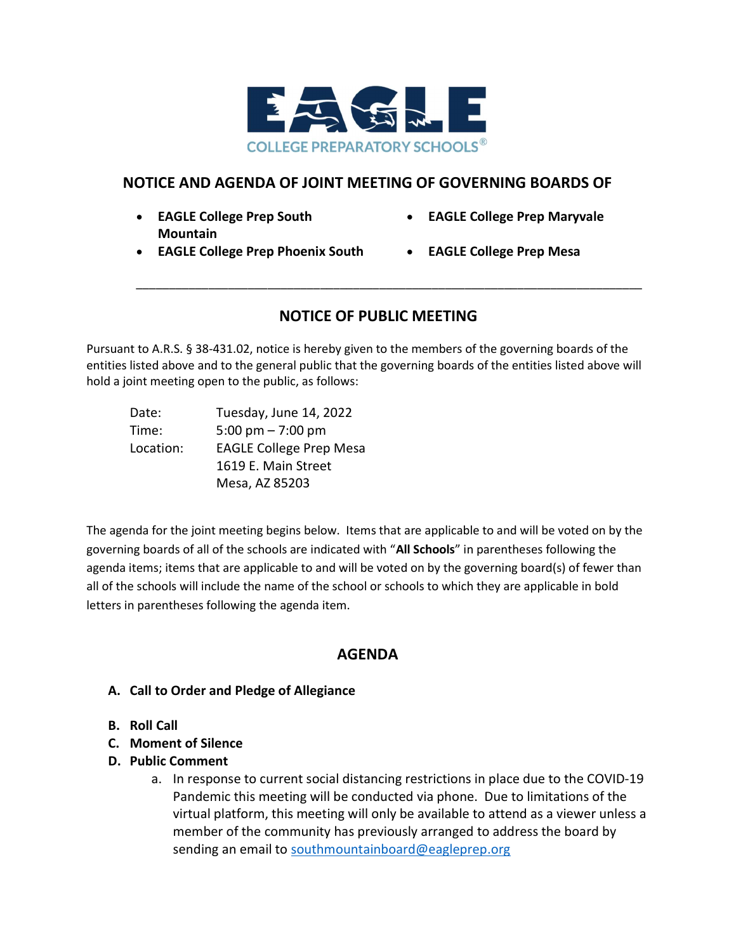

## NOTICE AND AGENDA OF JOINT MEETING OF GOVERNING BOARDS OF

- EAGLE College Prep South Mountain
- EAGLE College Prep Maryvale
- EAGLE College Prep Phoenix South EAGLE College Prep Mesa
	-

## NOTICE OF PUBLIC MEETING

\_\_\_\_\_\_\_\_\_\_\_\_\_\_\_\_\_\_\_\_\_\_\_\_\_\_\_\_\_\_\_\_\_\_\_\_\_\_\_\_\_\_\_\_\_\_\_\_\_\_\_\_\_\_\_\_\_\_\_\_\_\_\_\_\_\_\_\_\_\_\_\_\_\_\_\_\_

Pursuant to A.R.S. § 38-431.02, notice is hereby given to the members of the governing boards of the entities listed above and to the general public that the governing boards of the entities listed above will hold a joint meeting open to the public, as follows:

| Date:     | Tuesday, June 14, 2022         |
|-----------|--------------------------------|
| Time:     | 5:00 pm $- 7:00$ pm            |
| Location: | <b>EAGLE College Prep Mesa</b> |
|           | 1619 E. Main Street            |
|           | Mesa, AZ 85203                 |

The agenda for the joint meeting begins below. Items that are applicable to and will be voted on by the governing boards of all of the schools are indicated with "All Schools" in parentheses following the agenda items; items that are applicable to and will be voted on by the governing board(s) of fewer than all of the schools will include the name of the school or schools to which they are applicable in bold letters in parentheses following the agenda item.

## AGENDA

- A. Call to Order and Pledge of Allegiance
- B. Roll Call
- C. Moment of Silence
- D. Public Comment
	- a. In response to current social distancing restrictions in place due to the COVID-19 Pandemic this meeting will be conducted via phone. Due to limitations of the virtual platform, this meeting will only be available to attend as a viewer unless a member of the community has previously arranged to address the board by sending an email to southmountainboard@eagleprep.org